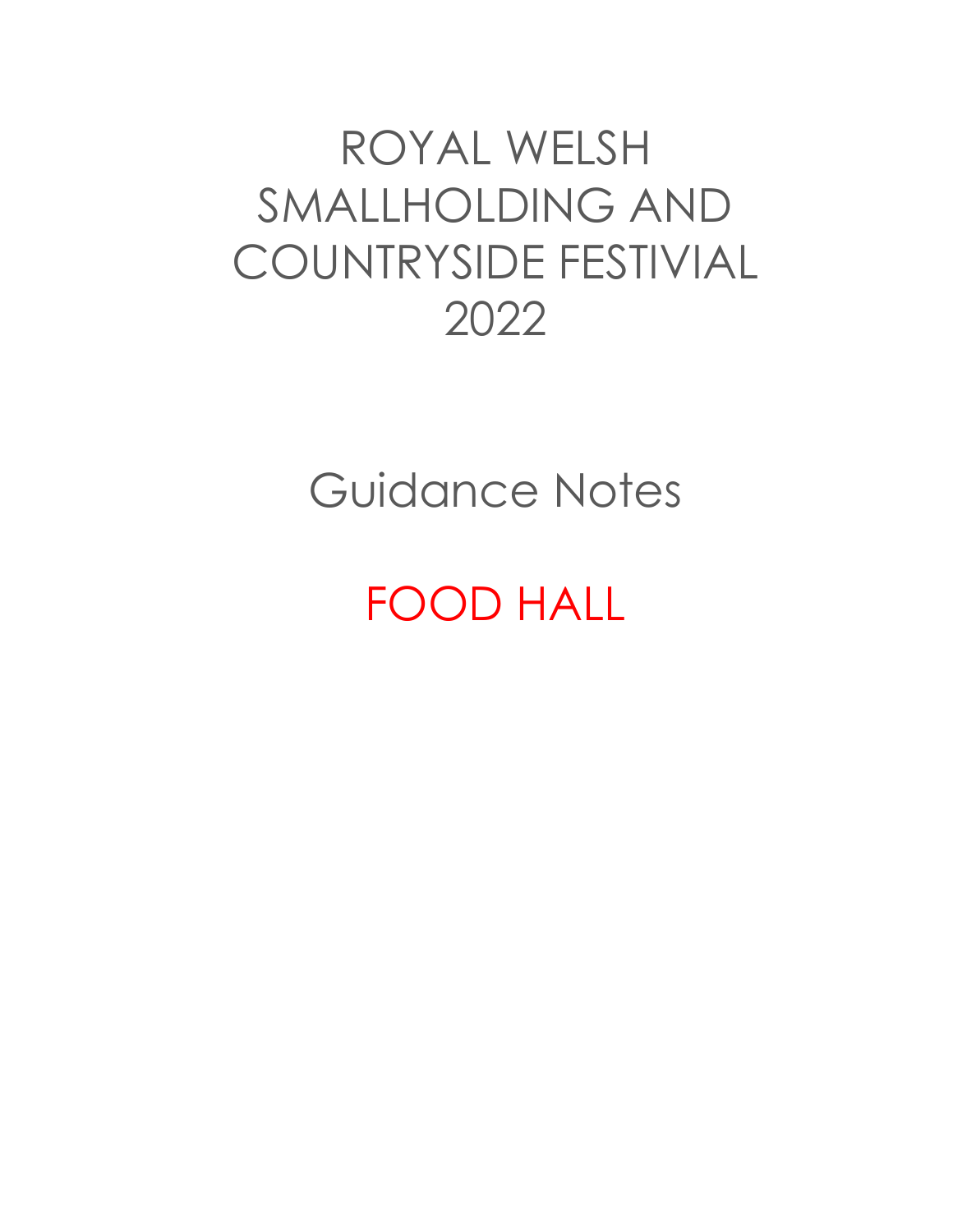# ROYAL WELSH SMALLHOLDING AND COUNTRYSIDE FESTIVIAL 2022

Guidance Notes

# FOOD HALL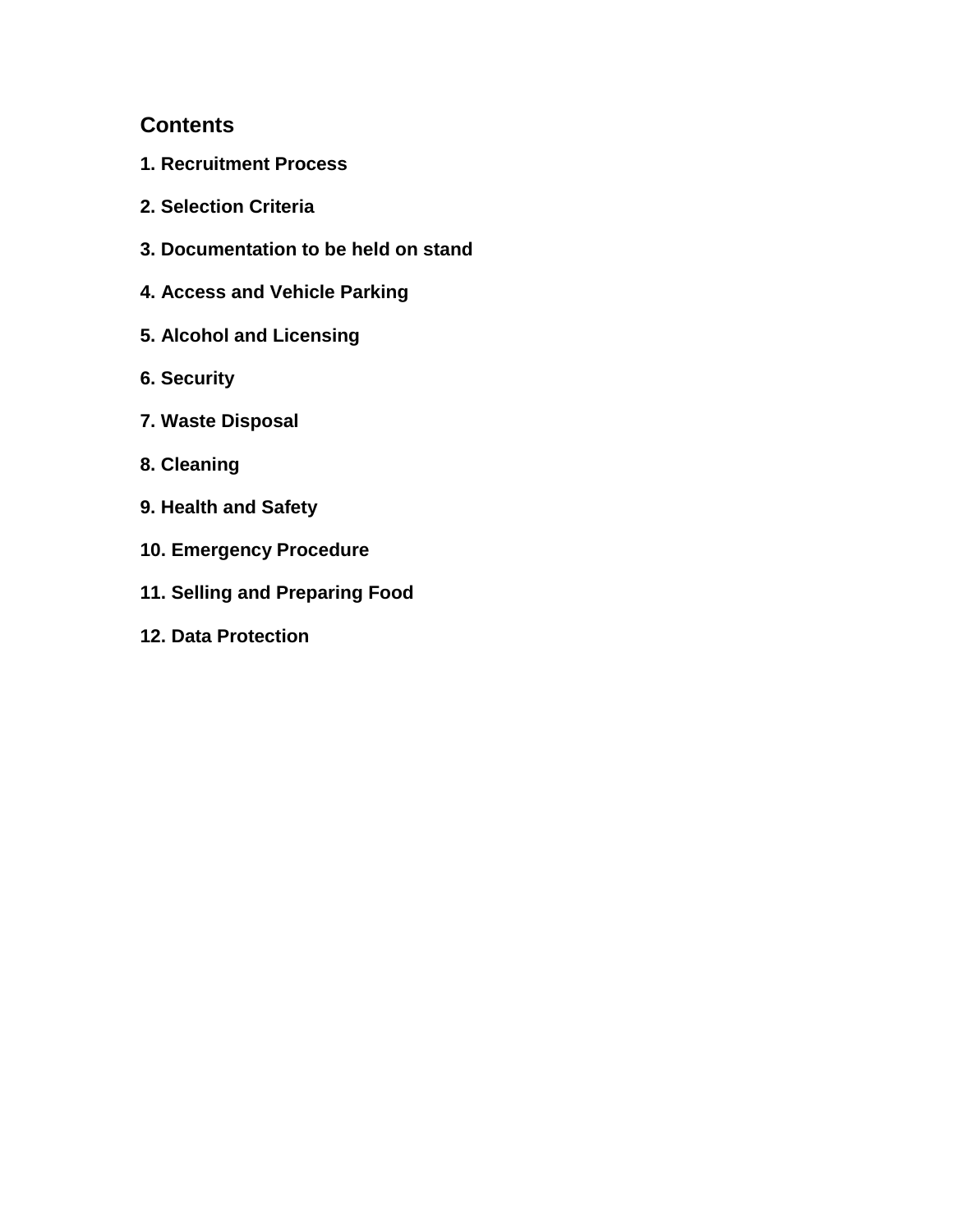# **Contents**

- **1. Recruitment Process**
- **2. Selection Criteria**
- **3. Documentation to be held on stand**
- **4. Access and Vehicle Parking**
- **5. Alcohol and Licensing**
- **6. Security**
- **7. Waste Disposal**
- **8. Cleaning**
- **9. Health and Safety**
- **10. Emergency Procedure**
- **11. Selling and Preparing Food**
- **12. Data Protection**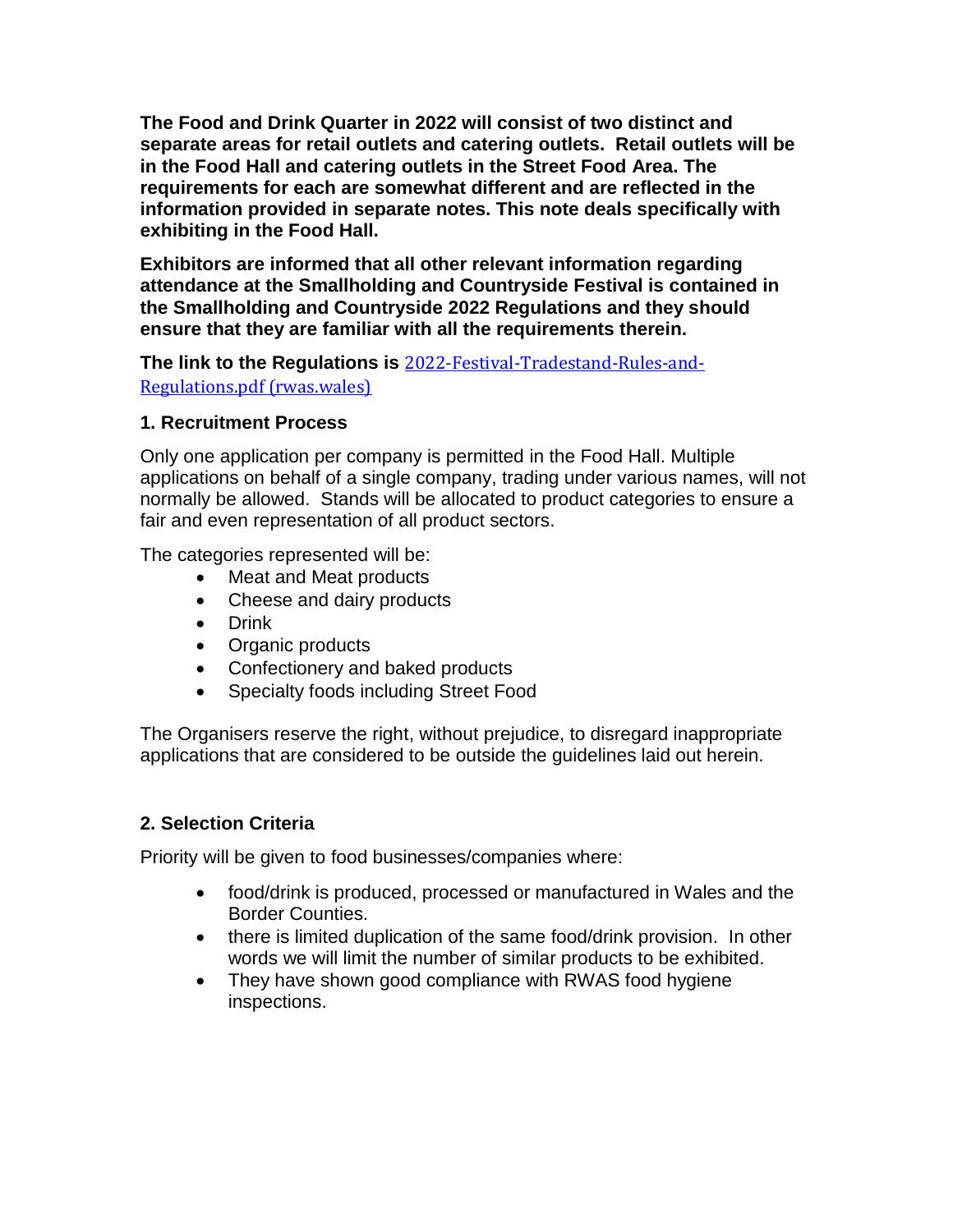**The Food and Drink Quarter in 2022 will consist of two distinct and separate areas for retail outlets and catering outlets. Retail outlets will be in the Food Hall and catering outlets in the Street Food Area. The requirements for each are somewhat different and are reflected in the information provided in separate notes. This note deals specifically with exhibiting in the Food Hall.**

**Exhibitors are informed that all other relevant information regarding attendance at the Smallholding and Countryside Festival is contained in the Smallholding and Countryside 2022 Regulations and they should ensure that they are familiar with all the requirements therein.**

**The link to the Regulations is** [2022-Festival-Tradestand-Rules-and-](https://rwas.wales/app/uploads/2021/12/2022-Festival-Tradestand-Rules-and-Regulations.pdf)[Regulations.pdf \(rwas.wales\)](https://rwas.wales/app/uploads/2021/12/2022-Festival-Tradestand-Rules-and-Regulations.pdf)

#### **1. Recruitment Process**

Only one application per company is permitted in the Food Hall. Multiple applications on behalf of a single company, trading under various names, will not normally be allowed. Stands will be allocated to product categories to ensure a fair and even representation of all product sectors.

The categories represented will be:

- Meat and Meat products
- Cheese and dairy products
- Drink
- Organic products
- Confectionery and baked products
- Specialty foods including Street Food

The Organisers reserve the right, without prejudice, to disregard inappropriate applications that are considered to be outside the guidelines laid out herein.

# **2. Selection Criteria**

Priority will be given to food businesses/companies where:

- food/drink is produced, processed or manufactured in Wales and the Border Counties.
- there is limited duplication of the same food/drink provision. In other words we will limit the number of similar products to be exhibited.
- They have shown good compliance with RWAS food hygiene inspections.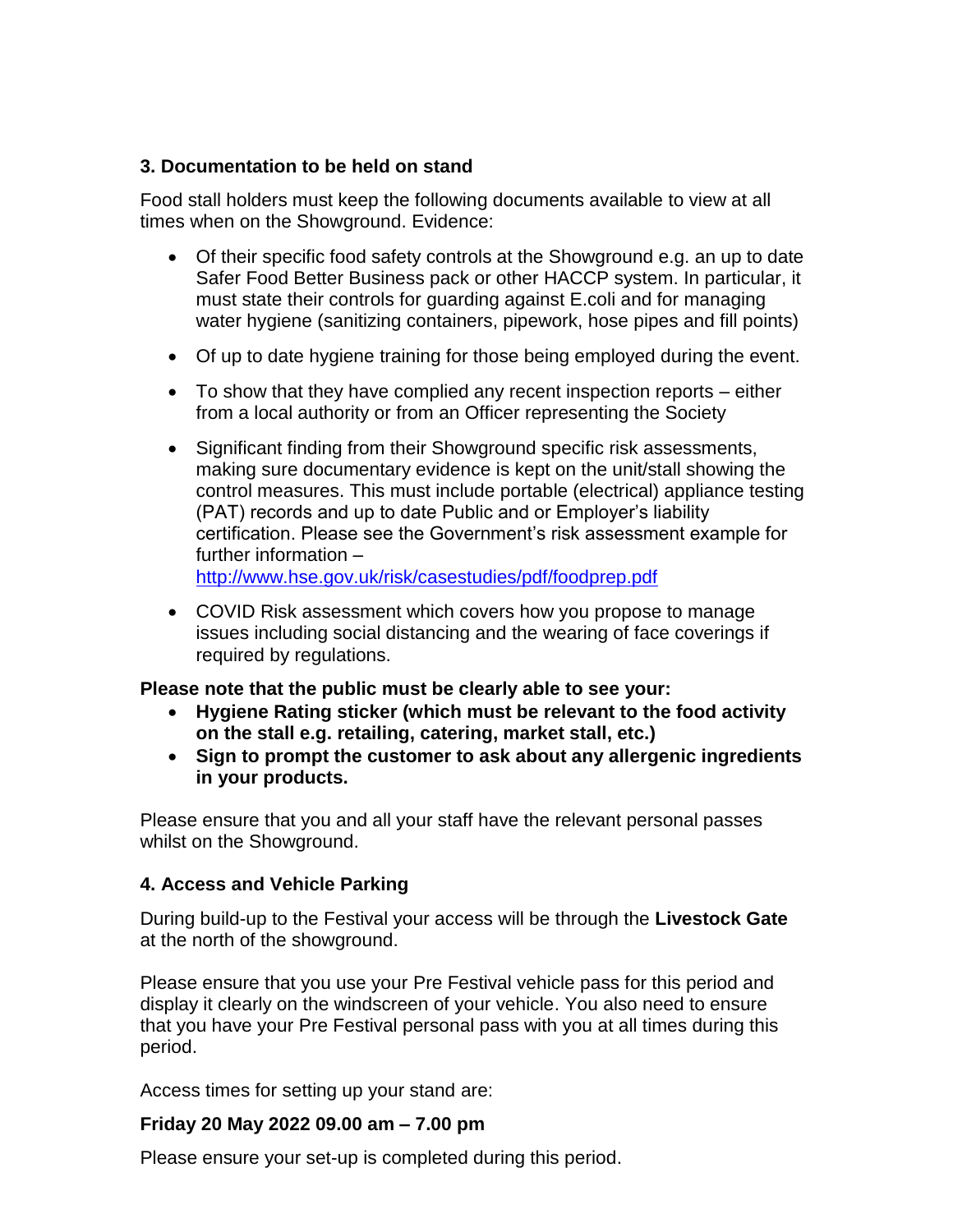#### **3. Documentation to be held on stand**

Food stall holders must keep the following documents available to view at all times when on the Showground. Evidence:

- Of their specific food safety controls at the Showground e.g. an up to date Safer Food Better Business pack or other HACCP system. In particular, it must state their controls for guarding against E.coli and for managing water hygiene (sanitizing containers, pipework, hose pipes and fill points)
- Of up to date hygiene training for those being employed during the event.
- To show that they have complied any recent inspection reports either from a local authority or from an Officer representing the Society
- Significant finding from their Showground specific risk assessments, making sure documentary evidence is kept on the unit/stall showing the control measures. This must include portable (electrical) appliance testing (PAT) records and up to date Public and or Employer's liability certification. Please see the Government's risk assessment example for further information – <http://www.hse.gov.uk/risk/casestudies/pdf/foodprep.pdf>

• COVID Risk assessment which covers how you propose to manage issues including social distancing and the wearing of face coverings if required by regulations.

#### **Please note that the public must be clearly able to see your:**

- **Hygiene Rating sticker (which must be relevant to the food activity on the stall e.g. retailing, catering, market stall, etc.)**
- **Sign to prompt the customer to ask about any allergenic ingredients in your products.**

Please ensure that you and all your staff have the relevant personal passes whilst on the Showground.

#### **4. Access and Vehicle Parking**

During build-up to the Festival your access will be through the **Livestock Gate** at the north of the showground.

Please ensure that you use your Pre Festival vehicle pass for this period and display it clearly on the windscreen of your vehicle. You also need to ensure that you have your Pre Festival personal pass with you at all times during this period.

Access times for setting up your stand are:

#### **Friday 20 May 2022 09.00 am – 7.00 pm**

Please ensure your set-up is completed during this period.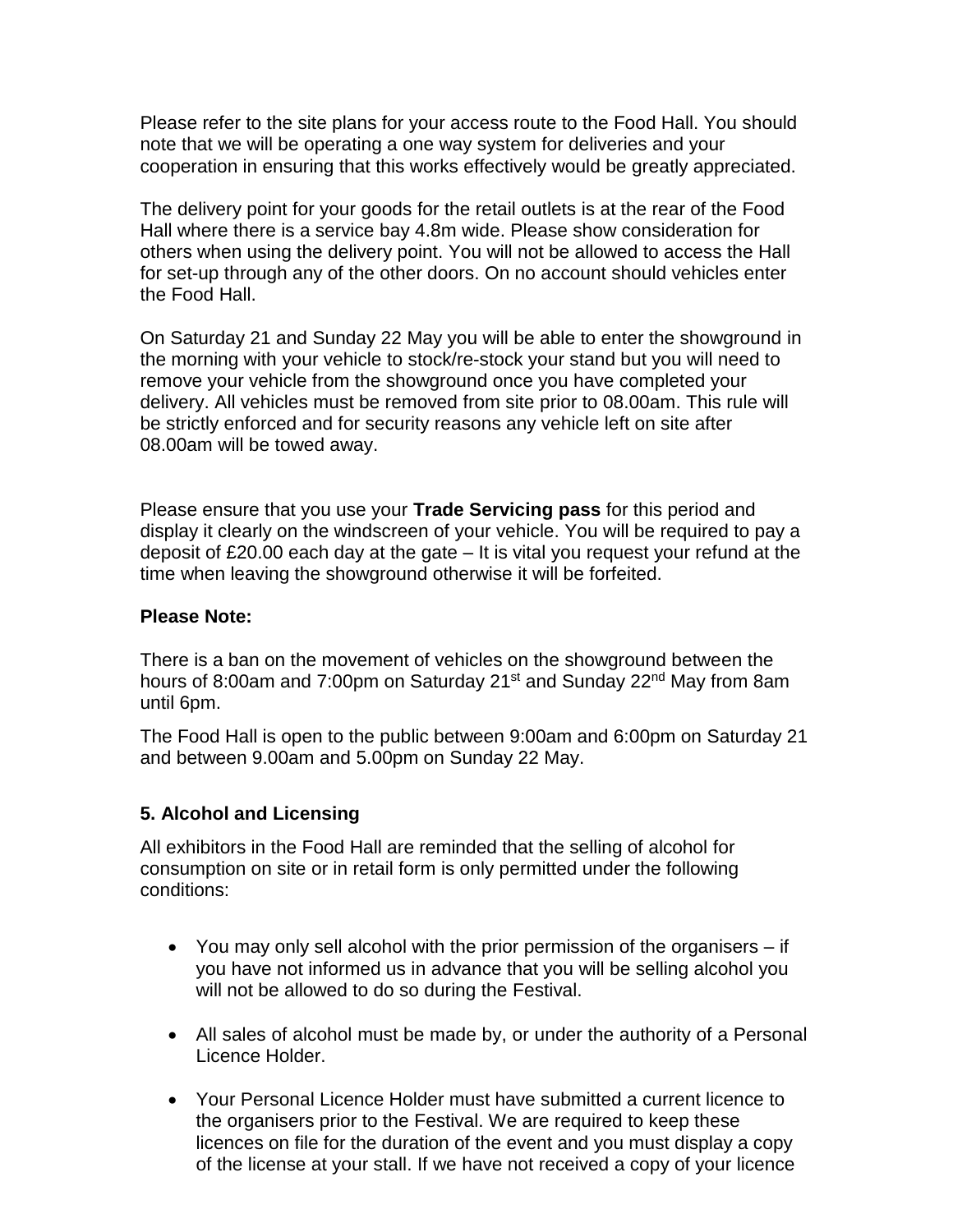Please refer to the site plans for your access route to the Food Hall. You should note that we will be operating a one way system for deliveries and your cooperation in ensuring that this works effectively would be greatly appreciated.

The delivery point for your goods for the retail outlets is at the rear of the Food Hall where there is a service bay 4.8m wide. Please show consideration for others when using the delivery point. You will not be allowed to access the Hall for set-up through any of the other doors. On no account should vehicles enter the Food Hall.

On Saturday 21 and Sunday 22 May you will be able to enter the showground in the morning with your vehicle to stock/re-stock your stand but you will need to remove your vehicle from the showground once you have completed your delivery. All vehicles must be removed from site prior to 08.00am. This rule will be strictly enforced and for security reasons any vehicle left on site after 08.00am will be towed away.

Please ensure that you use your **Trade Servicing pass** for this period and display it clearly on the windscreen of your vehicle. You will be required to pay a deposit of £20.00 each day at the gate – It is vital you request your refund at the time when leaving the showground otherwise it will be forfeited.

#### **Please Note:**

There is a ban on the movement of vehicles on the showground between the hours of 8:00am and 7:00pm on Saturday 21<sup>st</sup> and Sunday 22<sup>nd</sup> May from 8am until 6pm.

The Food Hall is open to the public between 9:00am and 6:00pm on Saturday 21 and between 9.00am and 5.00pm on Sunday 22 May.

#### **5. Alcohol and Licensing**

All exhibitors in the Food Hall are reminded that the selling of alcohol for consumption on site or in retail form is only permitted under the following conditions:

- You may only sell alcohol with the prior permission of the organisers if you have not informed us in advance that you will be selling alcohol you will not be allowed to do so during the Festival.
- All sales of alcohol must be made by, or under the authority of a Personal Licence Holder.
- Your Personal Licence Holder must have submitted a current licence to the organisers prior to the Festival. We are required to keep these licences on file for the duration of the event and you must display a copy of the license at your stall. If we have not received a copy of your licence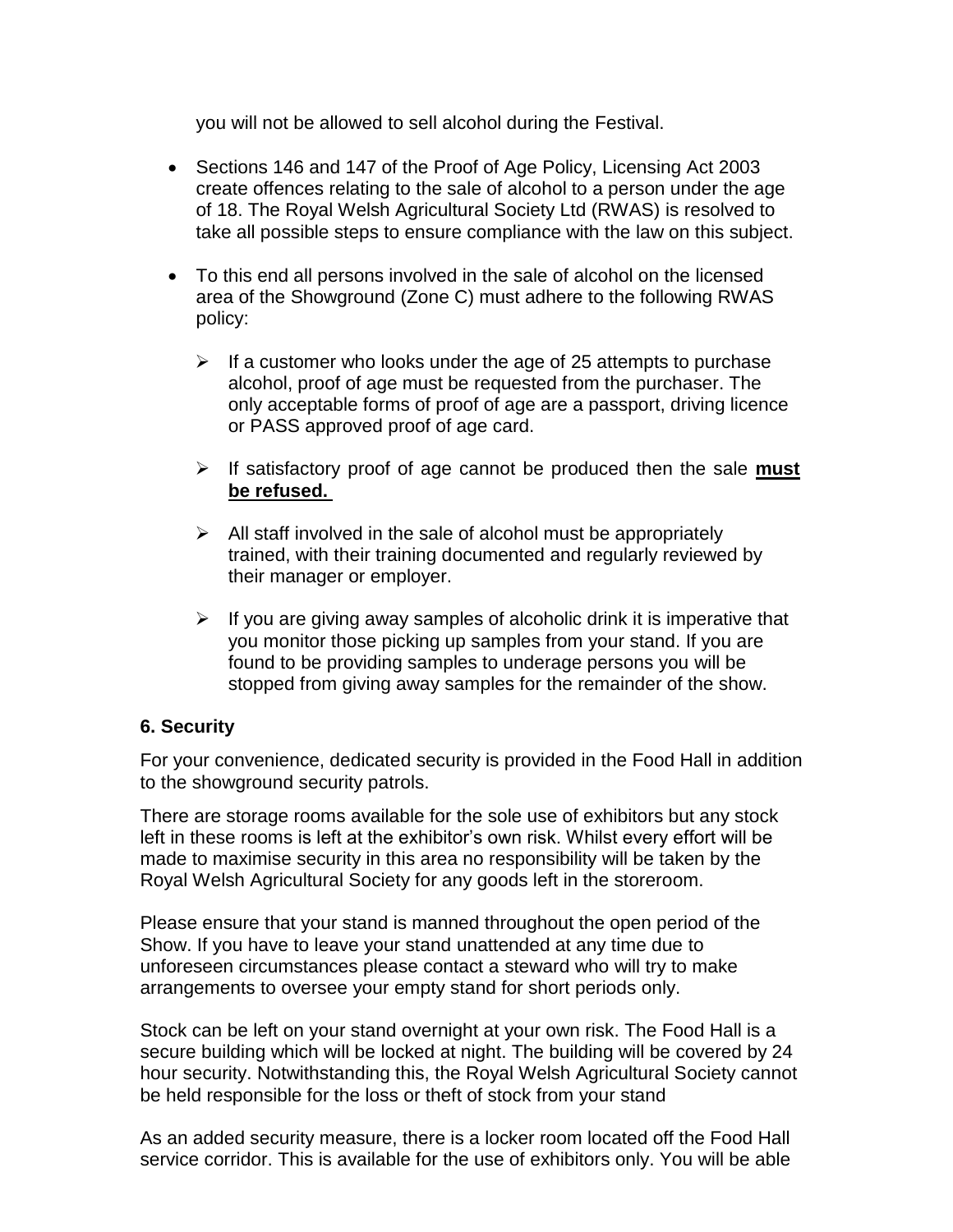you will not be allowed to sell alcohol during the Festival.

- Sections 146 and 147 of the Proof of Age Policy, Licensing Act 2003 create offences relating to the sale of alcohol to a person under the age of 18. The Royal Welsh Agricultural Society Ltd (RWAS) is resolved to take all possible steps to ensure compliance with the law on this subject.
- To this end all persons involved in the sale of alcohol on the licensed area of the Showground (Zone C) must adhere to the following RWAS policy:
	- $\triangleright$  If a customer who looks under the age of 25 attempts to purchase alcohol, proof of age must be requested from the purchaser. The only acceptable forms of proof of age are a passport, driving licence or PASS approved proof of age card.
	- ➢ If satisfactory proof of age cannot be produced then the sale **must be refused.**
	- $\triangleright$  All staff involved in the sale of alcohol must be appropriately trained, with their training documented and regularly reviewed by their manager or employer.
	- $\triangleright$  If you are giving away samples of alcoholic drink it is imperative that you monitor those picking up samples from your stand. If you are found to be providing samples to underage persons you will be stopped from giving away samples for the remainder of the show.

# **6. Security**

For your convenience, dedicated security is provided in the Food Hall in addition to the showground security patrols.

There are storage rooms available for the sole use of exhibitors but any stock left in these rooms is left at the exhibitor's own risk. Whilst every effort will be made to maximise security in this area no responsibility will be taken by the Royal Welsh Agricultural Society for any goods left in the storeroom.

Please ensure that your stand is manned throughout the open period of the Show. If you have to leave your stand unattended at any time due to unforeseen circumstances please contact a steward who will try to make arrangements to oversee your empty stand for short periods only.

Stock can be left on your stand overnight at your own risk. The Food Hall is a secure building which will be locked at night. The building will be covered by 24 hour security. Notwithstanding this, the Royal Welsh Agricultural Society cannot be held responsible for the loss or theft of stock from your stand

As an added security measure, there is a locker room located off the Food Hall service corridor. This is available for the use of exhibitors only. You will be able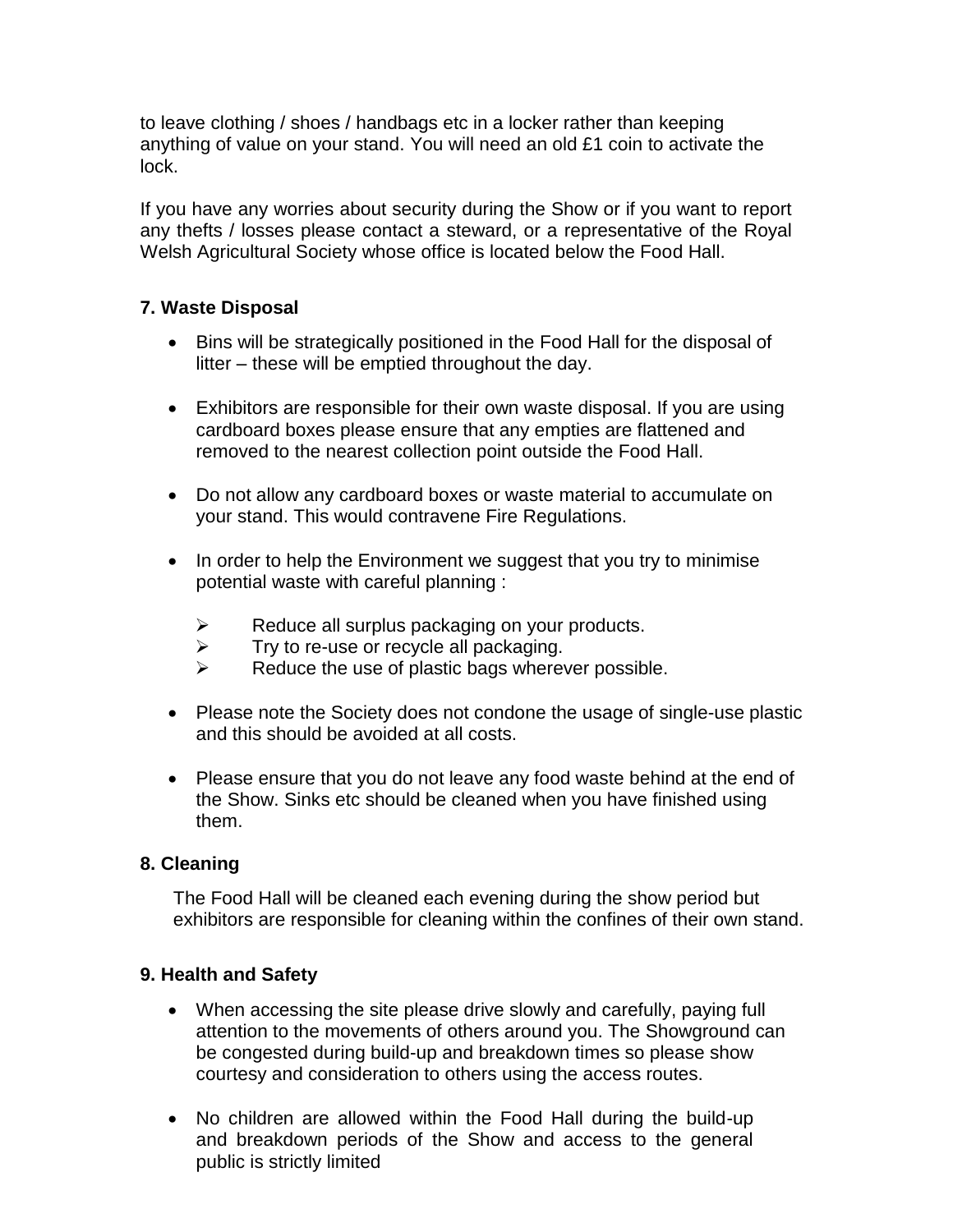to leave clothing / shoes / handbags etc in a locker rather than keeping anything of value on your stand. You will need an old £1 coin to activate the lock.

If you have any worries about security during the Show or if you want to report any thefts / losses please contact a steward, or a representative of the Royal Welsh Agricultural Society whose office is located below the Food Hall.

### **7. Waste Disposal**

- Bins will be strategically positioned in the Food Hall for the disposal of litter – these will be emptied throughout the day.
- Exhibitors are responsible for their own waste disposal. If you are using cardboard boxes please ensure that any empties are flattened and removed to the nearest collection point outside the Food Hall.
- Do not allow any cardboard boxes or waste material to accumulate on your stand. This would contravene Fire Regulations.
- In order to help the Environment we suggest that you try to minimise potential waste with careful planning :
	- $\triangleright$  Reduce all surplus packaging on your products.
	- $\triangleright$  Try to re-use or recycle all packaging.
	- ➢ Reduce the use of plastic bags wherever possible.
- Please note the Society does not condone the usage of single-use plastic and this should be avoided at all costs.
- Please ensure that you do not leave any food waste behind at the end of the Show. Sinks etc should be cleaned when you have finished using them.

# **8. Cleaning**

The Food Hall will be cleaned each evening during the show period but exhibitors are responsible for cleaning within the confines of their own stand.

# **9. Health and Safety**

- When accessing the site please drive slowly and carefully, paying full attention to the movements of others around you. The Showground can be congested during build-up and breakdown times so please show courtesy and consideration to others using the access routes.
- No children are allowed within the Food Hall during the build-up and breakdown periods of the Show and access to the general public is strictly limited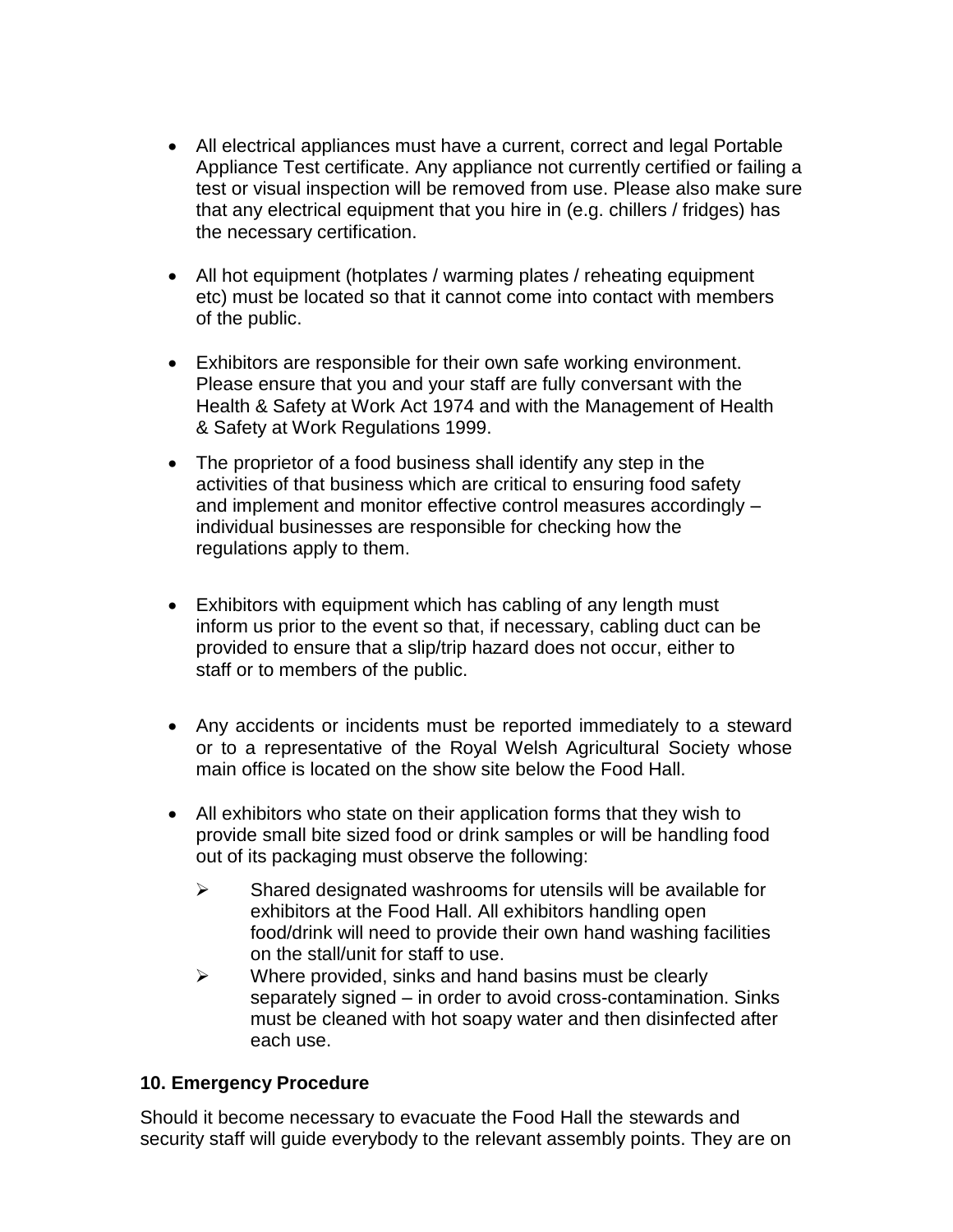- All electrical appliances must have a current, correct and legal Portable Appliance Test certificate. Any appliance not currently certified or failing a test or visual inspection will be removed from use. Please also make sure that any electrical equipment that you hire in (e.g. chillers / fridges) has the necessary certification.
- All hot equipment (hotplates / warming plates / reheating equipment etc) must be located so that it cannot come into contact with members of the public.
- Exhibitors are responsible for their own safe working environment. Please ensure that you and your staff are fully conversant with the Health & Safety at Work Act 1974 and with the Management of Health & Safety at Work Regulations 1999.
- The proprietor of a food business shall identify any step in the activities of that business which are critical to ensuring food safety and implement and monitor effective control measures accordingly – individual businesses are responsible for checking how the regulations apply to them.
- Exhibitors with equipment which has cabling of any length must inform us prior to the event so that, if necessary, cabling duct can be provided to ensure that a slip/trip hazard does not occur, either to staff or to members of the public.
- Any accidents or incidents must be reported immediately to a steward or to a representative of the Royal Welsh Agricultural Society whose main office is located on the show site below the Food Hall.
- All exhibitors who state on their application forms that they wish to provide small bite sized food or drink samples or will be handling food out of its packaging must observe the following:
	- $\triangleright$  Shared designated washrooms for utensils will be available for exhibitors at the Food Hall. All exhibitors handling open food/drink will need to provide their own hand washing facilities on the stall/unit for staff to use.
	- $\triangleright$  Where provided, sinks and hand basins must be clearly separately signed – in order to avoid cross-contamination. Sinks must be cleaned with hot soapy water and then disinfected after each use.

# **10. Emergency Procedure**

Should it become necessary to evacuate the Food Hall the stewards and security staff will guide everybody to the relevant assembly points. They are on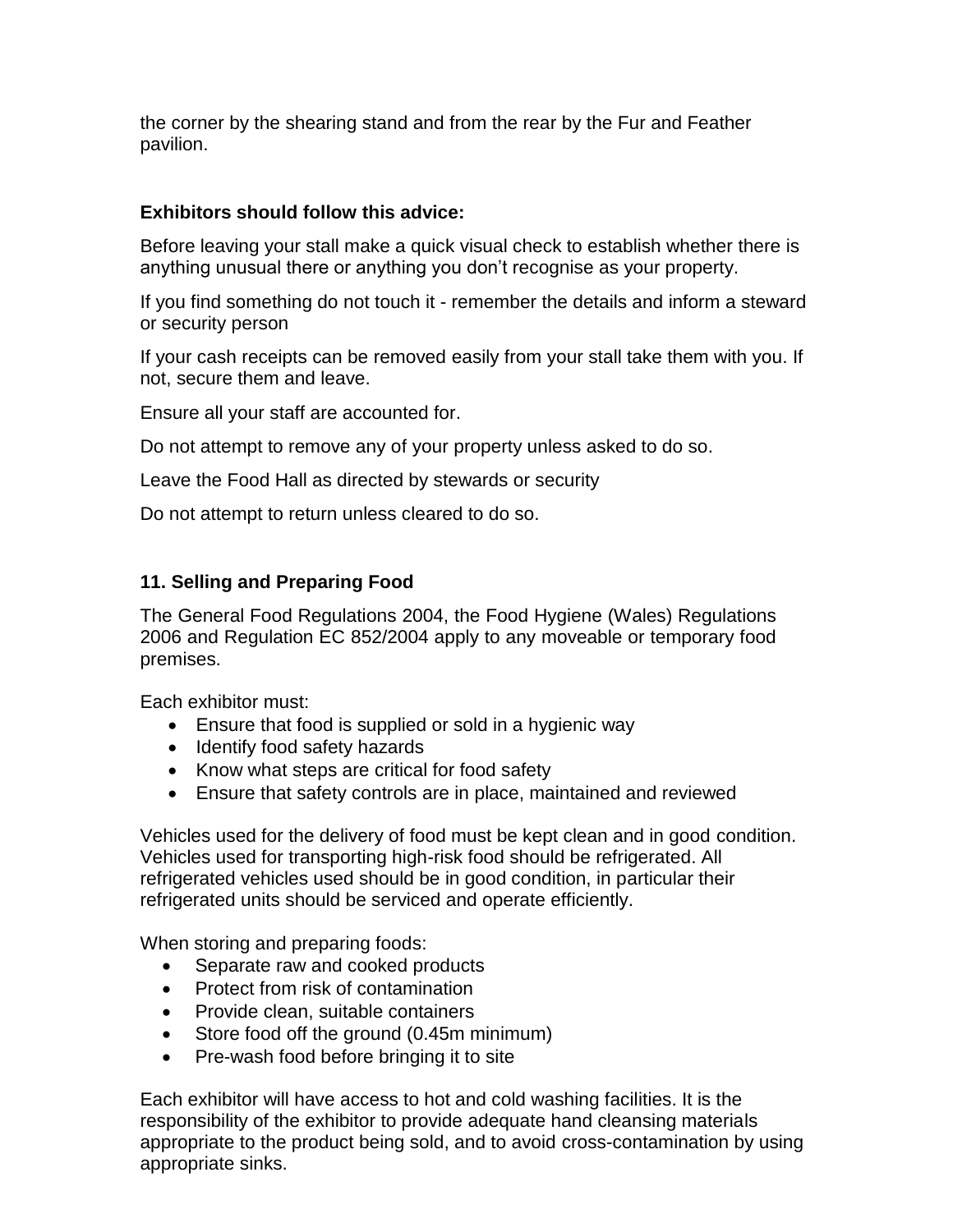the corner by the shearing stand and from the rear by the Fur and Feather pavilion.

# **Exhibitors should follow this advice:**

Before leaving your stall make a quick visual check to establish whether there is anything unusual there or anything you don't recognise as your property.

If you find something do not touch it - remember the details and inform a steward or security person

If your cash receipts can be removed easily from your stall take them with you. If not, secure them and leave.

Ensure all your staff are accounted for.

Do not attempt to remove any of your property unless asked to do so.

Leave the Food Hall as directed by stewards or security

Do not attempt to return unless cleared to do so.

#### **11. Selling and Preparing Food**

The General Food Regulations 2004, the Food Hygiene (Wales) Regulations 2006 and Regulation EC 852/2004 apply to any moveable or temporary food premises.

Each exhibitor must:

- Ensure that food is supplied or sold in a hygienic way
- Identify food safety hazards
- Know what steps are critical for food safety
- Ensure that safety controls are in place, maintained and reviewed

Vehicles used for the delivery of food must be kept clean and in good condition. Vehicles used for transporting high-risk food should be refrigerated. All refrigerated vehicles used should be in good condition, in particular their refrigerated units should be serviced and operate efficiently.

When storing and preparing foods:

- Separate raw and cooked products
- Protect from risk of contamination
- Provide clean, suitable containers
- Store food off the ground (0.45m minimum)
- Pre-wash food before bringing it to site

Each exhibitor will have access to hot and cold washing facilities. It is the responsibility of the exhibitor to provide adequate hand cleansing materials appropriate to the product being sold, and to avoid cross-contamination by using appropriate sinks.